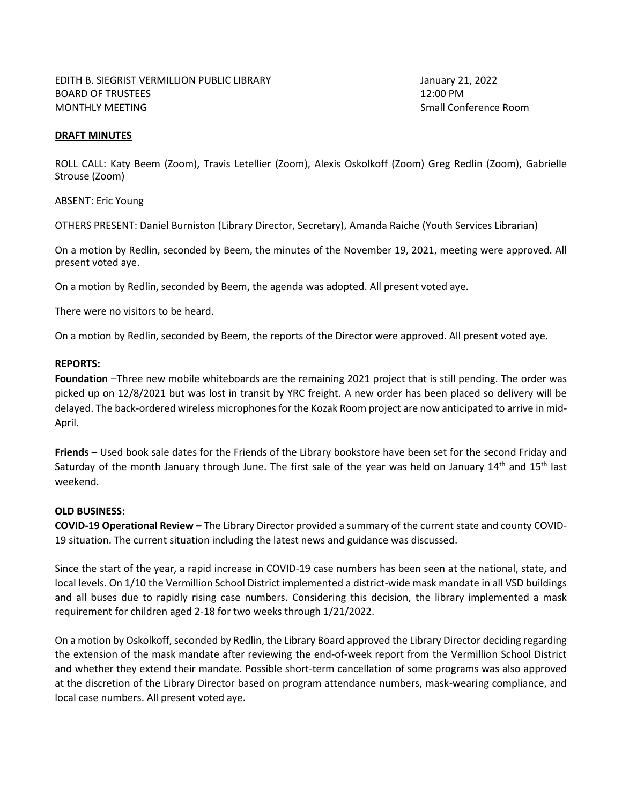## **DRAFT MINUTES**

ROLL CALL: Katy Beem (Zoom), Travis Letellier (Zoom), Alexis Oskolkoff (Zoom) Greg Redlin (Zoom), Gabrielle Strouse (Zoom)

ABSENT: Eric Young

OTHERS PRESENT: Daniel Burniston (Library Director, Secretary), Amanda Raiche (Youth Services Librarian)

On a motion by Redlin, seconded by Beem, the minutes of the November 19, 2021, meeting were approved. All present voted aye.

On a motion by Redlin, seconded by Beem, the agenda was adopted. All present voted aye.

There were no visitors to be heard.

On a motion by Redlin, seconded by Beem, the reports of the Director were approved. All present voted aye.

## **REPORTS:**

**Foundation** –Three new mobile whiteboards are the remaining 2021 project that is still pending. The order was picked up on 12/8/2021 but was lost in transit by YRC freight. A new order has been placed so delivery will be delayed. The back-ordered wireless microphones for the Kozak Room project are now anticipated to arrive in mid-April.

**Friends –** Used book sale dates for the Friends of the Library bookstore have been set for the second Friday and Saturday of the month January through June. The first sale of the year was held on January  $14<sup>th</sup>$  and  $15<sup>th</sup>$  last weekend.

## **OLD BUSINESS:**

**COVID-19 Operational Review –** The Library Director provided a summary of the current state and county COVID-19 situation. The current situation including the latest news and guidance was discussed.

Since the start of the year, a rapid increase in COVID-19 case numbers has been seen at the national, state, and local levels. On 1/10 the Vermillion School District implemented a district-wide mask mandate in all VSD buildings and all buses due to rapidly rising case numbers. Considering this decision, the library implemented a mask requirement for children aged 2-18 for two weeks through 1/21/2022.

On a motion by Oskolkoff, seconded by Redlin, the Library Board approved the Library Director deciding regarding the extension of the mask mandate after reviewing the end-of-week report from the Vermillion School District and whether they extend their mandate. Possible short-term cancellation of some programs was also approved at the discretion of the Library Director based on program attendance numbers, mask-wearing compliance, and local case numbers. All present voted aye.